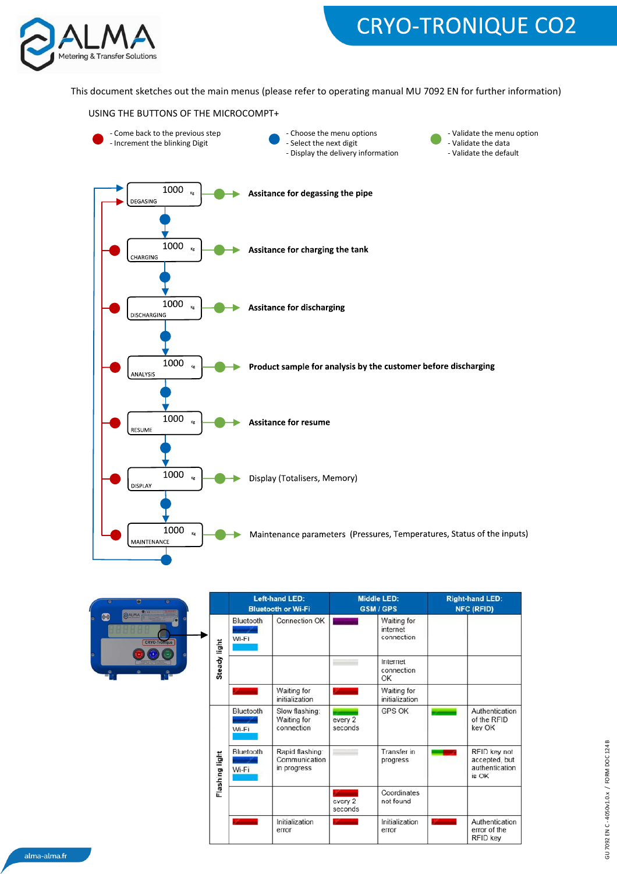

# **CRYO-TRONIQUE CO2**

This document sketches out the main menus (please refer to operating manual MU 7092 EN for further information)





| O<br>g/c                                  |                     | <b>Left-hand LED:</b><br><b>Bluetooth or Wi-Fi</b> |                                                 | <b>Middle LED:</b><br><b>GSM/GPS</b> |                                       | <b>Right-hand LED:</b><br><b>NFC (RFID)</b> |                                                          |
|-------------------------------------------|---------------------|----------------------------------------------------|-------------------------------------------------|--------------------------------------|---------------------------------------|---------------------------------------------|----------------------------------------------------------|
| <b>BALMA</b><br>$(\circ)$<br>CRYO-Tromque |                     | Bluetooth<br>Wi-Fi                                 | Connection OK                                   |                                      | Waiting for<br>internet<br>connection |                                             |                                                          |
| ۰<br>$\frac{1}{2}$<br>۰                   | <b>Steady light</b> |                                                    |                                                 |                                      | Internet<br>connection<br>OK          |                                             |                                                          |
|                                           |                     |                                                    | Waiting for<br>initialization                   |                                      | Waiting for<br>initialization         |                                             |                                                          |
|                                           |                     | Bluetooth<br>Wi-Fi                                 | Slow flashing:<br>Waiting for<br>connection     | every 2<br>seconds                   | <b>GPS OK</b>                         |                                             | Authentication<br>of the RFID<br>key OK                  |
|                                           | Flashing light      | Bluetooth<br>Wi-Fi                                 | Rapid flashing:<br>Communication<br>in progress |                                      | Transfer in<br>progress               |                                             | RFID key not<br>accepted, but<br>authentication<br>is OK |
|                                           |                     |                                                    |                                                 | every 2<br>seconds                   | Coordinates<br>not found              |                                             |                                                          |
|                                           |                     |                                                    | Initialization<br>error                         |                                      | Initialization<br>error               |                                             | Authentication<br>error of the<br>RFID key               |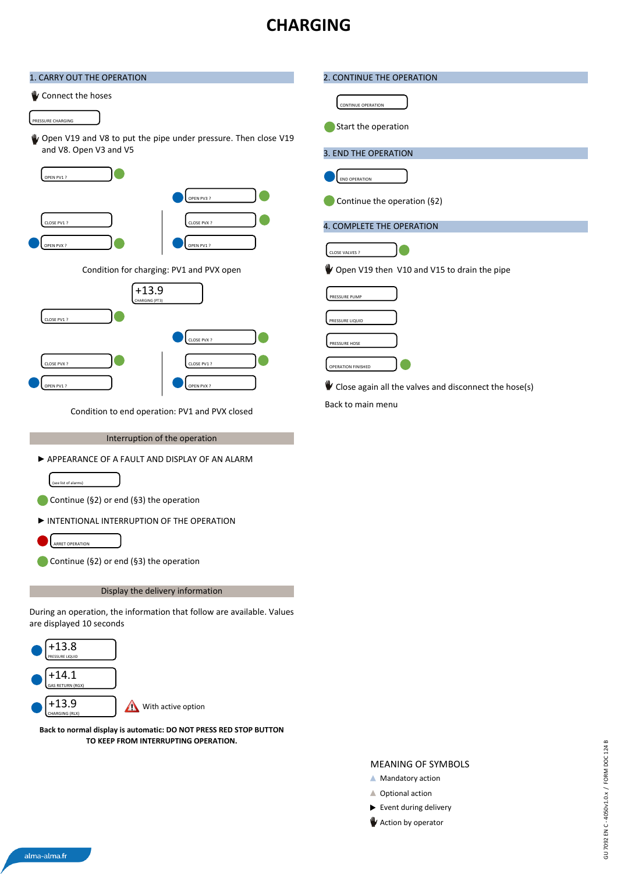### **CHARGING**

| 1. CARRY OUT THE OPERATION                                                                         | 2. CONTINUE THE OPERATION                             |  |  |  |  |
|----------------------------------------------------------------------------------------------------|-------------------------------------------------------|--|--|--|--|
| Connect the hoses                                                                                  |                                                       |  |  |  |  |
|                                                                                                    | <b>CONTINUE OPERATION</b>                             |  |  |  |  |
| PRESSURE CHARGING<br>Open V19 and V8 to put the pipe under pressure. Then close V19                | Start the operation                                   |  |  |  |  |
| and V8. Open V3 and V5                                                                             | 3. END THE OPERATION                                  |  |  |  |  |
| OPEN PV1 ?                                                                                         | <b>END OPERATION</b>                                  |  |  |  |  |
| OPEN PV3?                                                                                          | Continue the operation (§2)                           |  |  |  |  |
| CLOSE PV1 ?<br>CLOSE PVX ?                                                                         | 4. COMPLETE THE OPERATION                             |  |  |  |  |
| OPEN PVX?<br>OPEN PV1 ?                                                                            |                                                       |  |  |  |  |
|                                                                                                    | CLOSE VALVES ?                                        |  |  |  |  |
| Condition for charging: PV1 and PVX open                                                           | Open V19 then V10 and V15 to drain the pipe           |  |  |  |  |
| $+13.9$<br>HARGING (PT3)                                                                           | PRESSURE PUMP                                         |  |  |  |  |
| CLOSE PV1 ?                                                                                        | PRESSURE LIQUID                                       |  |  |  |  |
| CLOSE PVX ?                                                                                        | PRESSURE HOSE                                         |  |  |  |  |
| CLOSE PVX ?<br>CLOSE PV1?                                                                          | OPERATION FINISHED                                    |  |  |  |  |
| OPEN PV1 ?<br>OPEN PVX?                                                                            | Close again all the valves and disconnect the hose(s) |  |  |  |  |
| Condition to end operation: PV1 and PVX closed                                                     | Back to main menu                                     |  |  |  |  |
|                                                                                                    |                                                       |  |  |  |  |
| Interruption of the operation                                                                      |                                                       |  |  |  |  |
| APPEARANCE OF A FAULT AND DISPLAY OF AN ALARM                                                      |                                                       |  |  |  |  |
| (see list of alarms)                                                                               |                                                       |  |  |  |  |
| Continue (§2) or end (§3) the operation                                                            |                                                       |  |  |  |  |
| INTENTIONAL INTERRUPTION OF THE OPERATION                                                          |                                                       |  |  |  |  |
| <b>ARRET OPERATION</b><br>Continue (§2) or end (§3) the operation                                  |                                                       |  |  |  |  |
|                                                                                                    |                                                       |  |  |  |  |
| Display the delivery information                                                                   |                                                       |  |  |  |  |
| During an operation, the information that follow are available. Values<br>are displayed 10 seconds |                                                       |  |  |  |  |
| $+13.8$                                                                                            |                                                       |  |  |  |  |
| <b>RESSURE LIQUID</b>                                                                              |                                                       |  |  |  |  |
| $+14.1$<br>AS RETURN (RGX)                                                                         |                                                       |  |  |  |  |
| $+13.9$<br>With active option<br>$\triangle$<br>CHARGING (RLX)                                     |                                                       |  |  |  |  |
| Back to normal display is automatic: DO NOT PRESS RED STOP BUTTON                                  |                                                       |  |  |  |  |
| TO KEEP FROM INTERRUPTING OPERATION.                                                               |                                                       |  |  |  |  |
|                                                                                                    | <b>MEANING OF SYMBOLS</b>                             |  |  |  |  |
|                                                                                                    | ▲ Mandatory action                                    |  |  |  |  |

 $\blacktriangleright$  Event during delivery **Action by operator** 

GU 7092 EN C-4050v1.0.x / FORM DOC 124 B GU 7092 EN C - 4050v1.0.x / FORM DOC 124 B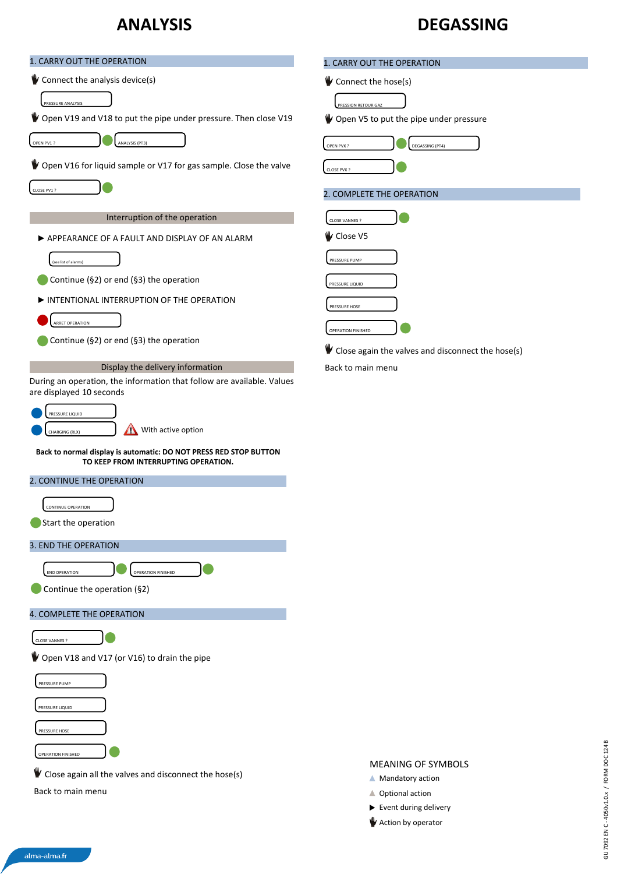## **ANALYSIS**

#### **DEGASSING**

| 1. CARRY OUT THE OPERATION                                                                                                             | 1. CARRY OUT THE OPERATION                        |
|----------------------------------------------------------------------------------------------------------------------------------------|---------------------------------------------------|
| Connect the analysis device(s)                                                                                                         | Connect the hose(s)                               |
| PRESSURE ANALYSIS                                                                                                                      | PRESSION RETOUR GAZ                               |
| Open V19 and V18 to put the pipe under pressure. Then close V19                                                                        | Open V5 to put the pipe under pressure            |
| OPEN PV1 ?<br>ANALYSIS (PT3)                                                                                                           | DEGASSING (PT4)<br>OPEN PVX?                      |
| Open V16 for liquid sample or V17 for gas sample. Close the valve                                                                      | CLOSE PVX ?                                       |
| CLOSE PV1 ?                                                                                                                            | 2. COMPLETE THE OPERATION                         |
| Interruption of the operation                                                                                                          | CLOSE VANNES ?                                    |
| APPEARANCE OF A FAULT AND DISPLAY OF AN ALARM                                                                                          | V Close V5                                        |
|                                                                                                                                        | PRESSURE PUMP                                     |
| see list of alarms)<br>Continue (§2) or end (§3) the operation                                                                         |                                                   |
| INTENTIONAL INTERRUPTION OF THE OPERATION                                                                                              | PRESSURE LIQUID                                   |
| ARRET OPERATION                                                                                                                        | PRESSURE HOSE                                     |
| Continue (§2) or end (§3) the operation                                                                                                | OPERATION FINISHED                                |
|                                                                                                                                        | Close again the valves and disconnect the hose(s) |
| Display the delivery information<br>During an operation, the information that follow are available. Values<br>are displayed 10 seconds | Back to main menu                                 |
| PRESSURE LIQUID                                                                                                                        |                                                   |
| With active option<br>CHARGING (RLX)                                                                                                   |                                                   |
| Back to normal display is automatic: DO NOT PRESS RED STOP BUTTON                                                                      |                                                   |
| TO KEEP FROM INTERRUPTING OPERATION.                                                                                                   |                                                   |
| 2. CONTINUE THE OPERATION                                                                                                              |                                                   |
| CONTINUE OPERATION                                                                                                                     |                                                   |
| Start the operation                                                                                                                    |                                                   |
| 3. END THE OPERATION                                                                                                                   |                                                   |
| <b>OPERATION FINISHED</b><br><b>END OPERATION</b>                                                                                      |                                                   |
| Continue the operation (§2)                                                                                                            |                                                   |
| 4. COMPLETE THE OPERATION                                                                                                              |                                                   |
| CLOSE VANNES ?                                                                                                                         |                                                   |
| Open V18 and V17 (or V16) to drain the pipe                                                                                            |                                                   |
| PRESSURE PUMP                                                                                                                          |                                                   |
| PRESSURE LIQUID                                                                                                                        |                                                   |
| PRESSURE HOSE                                                                                                                          |                                                   |
| OPERATION FINISHED                                                                                                                     |                                                   |
| Close again all the valves and disconnect the hose(s)                                                                                  | <b>MEANING OF SYMBOLS</b>                         |
| Back to main menu                                                                                                                      | ▲ Mandatory action<br>▲ Optional action           |
|                                                                                                                                        | Event during delivery                             |

Action by operator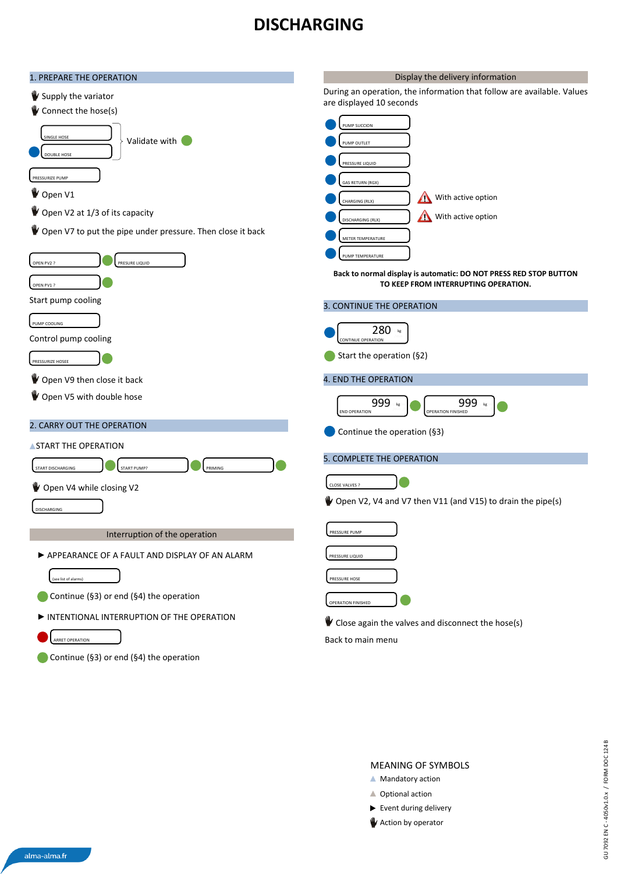#### **DISCHARGING**

| 1. PREPARE THE OPERATION                                   | Display the delivery information                                                                          |
|------------------------------------------------------------|-----------------------------------------------------------------------------------------------------------|
| Supply the variator<br>Connect the hose(s)                 | During an operation, the information that follow are available. Values<br>are displayed 10 seconds        |
|                                                            | PUMP SUCCION                                                                                              |
| <b>SINGLE HOSE</b><br>Validate with                        | PUMP OUTLET                                                                                               |
| DOUBLE HOSE                                                | PRESSURE LIQUID                                                                                           |
| PRESSURIZE PUMP                                            | <b>GAS RETURN (RGX)</b>                                                                                   |
| Open V1                                                    | With active option<br>$\triangle$<br>CHARGING (RLX)                                                       |
| <i>V</i> Open V2 at 1/3 of its capacity                    | $\triangle$<br>With active option<br>DISCHARGING (RLX)                                                    |
| Open V7 to put the pipe under pressure. Then close it back | METER TEMPERATURE                                                                                         |
| OPEN PV2 ?<br>PRESURE LIQUID                               | PUMP TEMPERATURE                                                                                          |
| OPEN PV1 ?                                                 | Back to normal display is automatic: DO NOT PRESS RED STOP BUTTON<br>TO KEEP FROM INTERRUPTING OPERATION. |
| Start pump cooling                                         | 3. CONTINUE THE OPERATION                                                                                 |
| PUMP COOLING                                               | 280                                                                                                       |
| Control pump cooling                                       | CONTINUE OPERATION                                                                                        |
| PRESSURIZE HOSEE                                           | Start the operation (§2)                                                                                  |
| Open V9 then close it back                                 | 4. END THE OPERATION                                                                                      |
| Open V5 with double hose                                   | 999<br>999<br><b>END OPERATION</b><br><b>OPERATION FINISHED</b>                                           |
| 2. CARRY OUT THE OPERATION                                 | Continue the operation (§3)                                                                               |
| <b>ASTART THE OPERATION</b>                                |                                                                                                           |
| START PUMP?<br>PRIMING<br>START DISCHARGING                | 5. COMPLETE THE OPERATION                                                                                 |
| Open V4 while closing V2                                   | CLOSE VALVES ?                                                                                            |
| DISCHARGING                                                | Open V2, V4 and V7 then V11 (and V15) to drain the pipe(s)                                                |
| Interruption of the operation                              | PRESSURE PUMP                                                                                             |
| APPEARANCE OF A FAULT AND DISPLAY OF AN ALARM              | PRESSURE LIQUID                                                                                           |
| (see list of alarms)                                       | PRESSURE HOSE                                                                                             |
| Continue (§3) or end (§4) the operation                    | OPERATION FINISHED                                                                                        |
| INTENTIONAL INTERRUPTION OF THE OPERATION                  | Close again the valves and disconnect the hose(s)                                                         |
| <b>ARRET OPERATION</b>                                     | Back to main menu                                                                                         |
| Continue (§3) or end (§4) the operation                    |                                                                                                           |

#### MEANING OF SYMBOLS

- **A** Mandatory action
- ▲ Optional action
- $\blacktriangleright$  Event during delivery
- Action by operator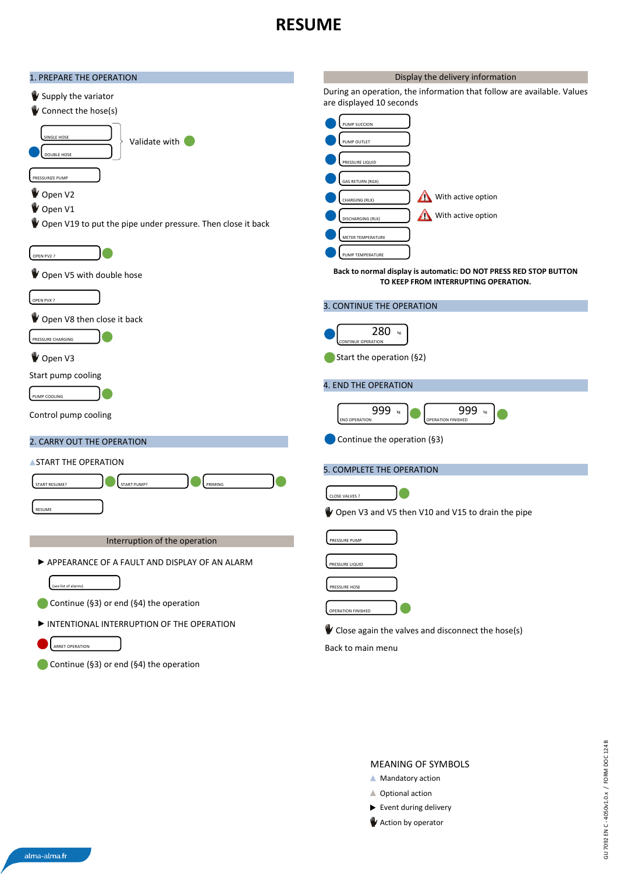#### **RESUME**



#### MEANING OF SYMBOLS

- **A** Mandatory action
- ▲ Optional action
- $\blacktriangleright$  Event during delivery
- **W** Action by operator